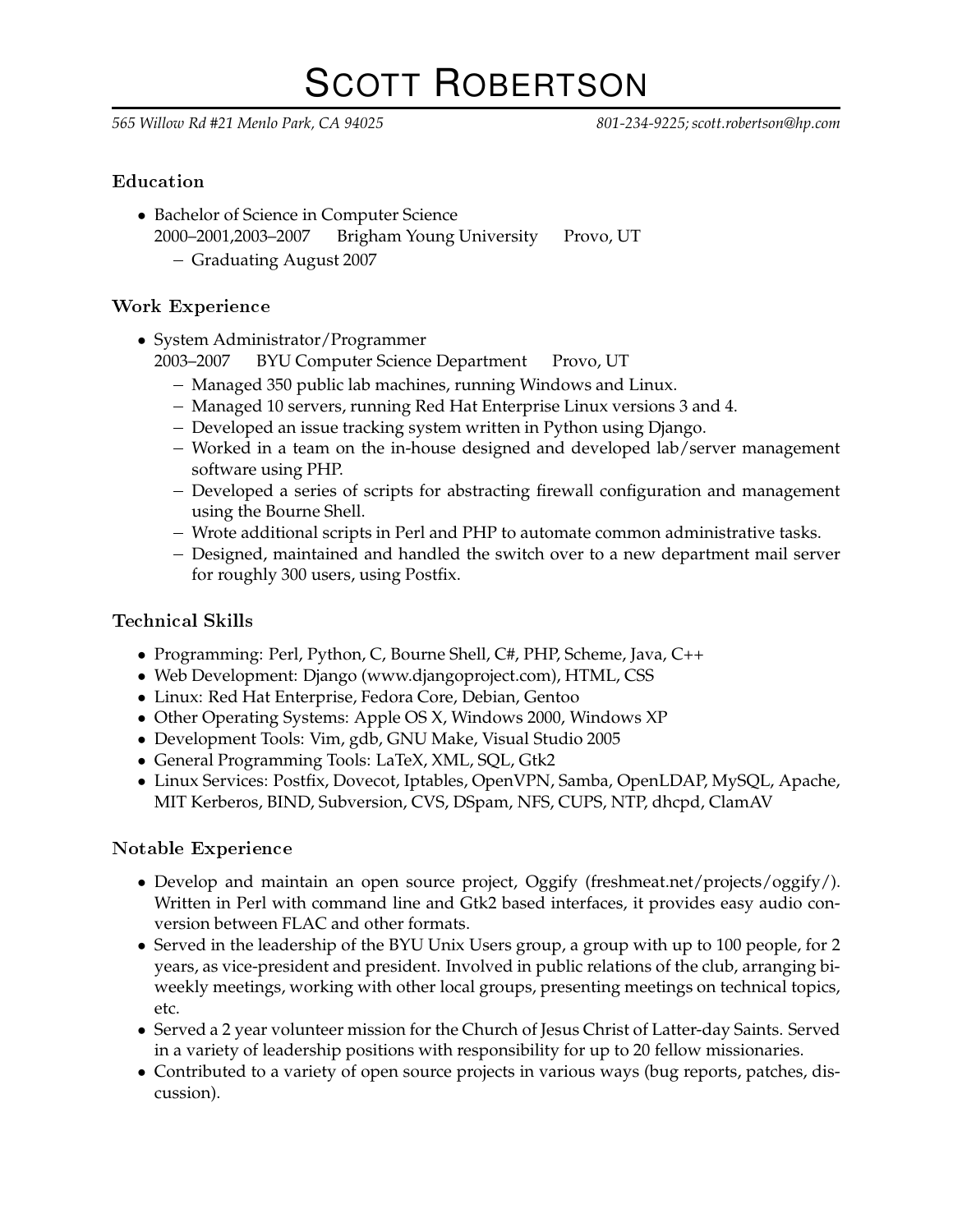# SCOTT ROBERTSON

*565 Willow Rd #21 Menlo Park, CA 94025 801-234-9225; scott.robertson@hp.com*

## **Education**

• Bachelor of Science in Computer Science 2000–2001,2003–2007 Brigham Young University Provo, UT Graduating August 2007

## Work Experien
e

- System Administrator/Programmer
	- 2003–2007 BYU Computer Science Department Provo, UT
		- Managed 350 public lab machines, running Windows and Linux.
		- Managed 10 servers, running Red Hat Enterprise Linux versions 3 and 4.
		- Developed an issue tracking system written in Python using Django.
		- Worked in a team on the in-house designed and developed lab/server management software using PHP.
		- Developed a series of scripts for abstracting firewall configuration and management using the Bourne Shell.
		- Wrote additional scripts in Perl and PHP to automate common administrative tasks.
		- Designed, maintained and handled the switch over to a new department mail server for roughly 300 users, using Postfix.

# Te
hni
al Skills

- Programming: Perl, Python, C, Bourne Shell, C#, PHP, Scheme, Java, C++
- Web Development: Django (www.djangoproject.com), HTML, CSS
- Linux: Red Hat Enterprise, Fedora Core, Debian, Gentoo
- Other Operating Systems: Apple OS X, Windows 2000, Windows XP
- Development Tools: Vim, gdb, GNU Make, Visual Studio 2005
- General Programming Tools: LaTeX, XML, SQL, Gtk2
- Linux Services: Postfix, Dovecot, Iptables, OpenVPN, Samba, OpenLDAP, MySQL, Apache, MIT Kerberos, BIND, Subversion, CVS, DSpam, NFS, CUPS, NTP, dhcpd, ClamAV

## Notable Experien
e

- Develop and maintain an open source project, Oggify (freshmeat.net/projects/oggify/). Written in Perl with command line and Gtk2 based interfaces, it provides easy audio conversion between FLAC and other formats.
- Served in the leadership of the BYU Unix Users group, a group with up to 100 people, for 2 years, as vice-president and president. Involved in public relations of the club, arranging biweekly meetings, working with other local groups, presenting meetings on technical topics, etc.
- Served a 2 year volunteer mission for the Church of Jesus Christ of Latter-day Saints. Served in a variety of leadership positions with responsibility for up to 20 fellow missionaries.
- Contributed to a variety of open source projects in various ways (bug reports, patches, discussion).